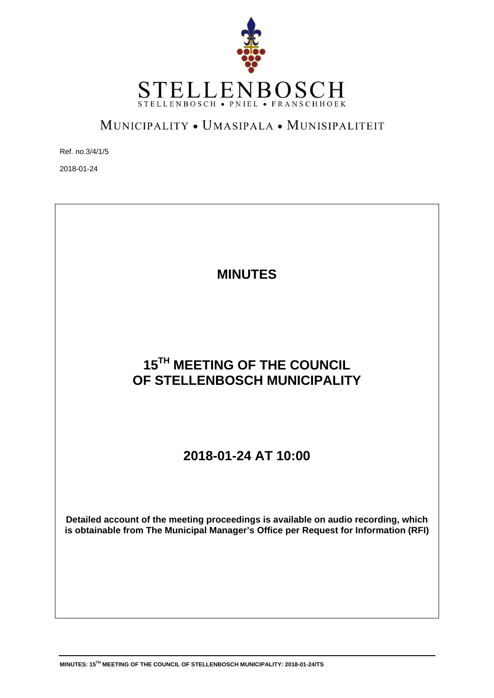

## MUNICIPALITY . UMASIPALA . MUNISIPALITEIT

Ref. no.3/4/1/5

2018-01-24

## **MINUTES 15TH MEETING OF THE COUNCIL OF STELLENBOSCH MUNICIPALITY 2018-01-24 AT 10:00 Detailed account of the meeting proceedings is available on audio recording, which is obtainable from The Municipal Manager's Office per Request for Information (RFI)**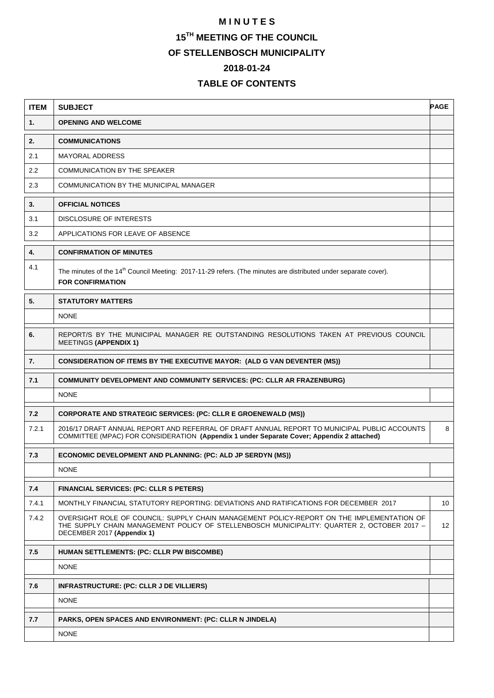## **M I N U T E S 15TH MEETING OF THE COUNCIL OF STELLENBOSCH MUNICIPALITY 2018-01-24**

## **TABLE OF CONTENTS**

| <b>ITEM</b> | <b>SUBJECT</b>                                                                                                                                                                                                        | <b>PAGE</b> |  |
|-------------|-----------------------------------------------------------------------------------------------------------------------------------------------------------------------------------------------------------------------|-------------|--|
| 1.          | <b>OPENING AND WELCOME</b>                                                                                                                                                                                            |             |  |
| 2.          | <b>COMMUNICATIONS</b>                                                                                                                                                                                                 |             |  |
| 2.1         | <b>MAYORAL ADDRESS</b>                                                                                                                                                                                                |             |  |
| 2.2         | COMMUNICATION BY THE SPEAKER                                                                                                                                                                                          |             |  |
| 2.3         | COMMUNICATION BY THE MUNICIPAL MANAGER                                                                                                                                                                                |             |  |
| 3.          | <b>OFFICIAL NOTICES</b>                                                                                                                                                                                               |             |  |
| 3.1         | DISCLOSURE OF INTERESTS                                                                                                                                                                                               |             |  |
| 3.2         | APPLICATIONS FOR LEAVE OF ABSENCE                                                                                                                                                                                     |             |  |
| 4.          | <b>CONFIRMATION OF MINUTES</b>                                                                                                                                                                                        |             |  |
| 4.1         | The minutes of the 14 <sup>th</sup> Council Meeting: 2017-11-29 refers. (The minutes are distributed under separate cover).<br><b>FOR CONFIRMATION</b>                                                                |             |  |
| 5.          | <b>STATUTORY MATTERS</b>                                                                                                                                                                                              |             |  |
|             | <b>NONE</b>                                                                                                                                                                                                           |             |  |
| 6.          | REPORT/S BY THE MUNICIPAL MANAGER RE OUTSTANDING RESOLUTIONS TAKEN AT PREVIOUS COUNCIL<br><b>MEETINGS (APPENDIX 1)</b>                                                                                                |             |  |
| 7.          | <b>CONSIDERATION OF ITEMS BY THE EXECUTIVE MAYOR: (ALD G VAN DEVENTER (MS))</b>                                                                                                                                       |             |  |
| 7.1         | COMMUNITY DEVELOPMENT AND COMMUNITY SERVICES: (PC: CLLR AR FRAZENBURG)                                                                                                                                                |             |  |
|             | <b>NONE</b>                                                                                                                                                                                                           |             |  |
| 7.2         | <b>CORPORATE AND STRATEGIC SERVICES: (PC: CLLR E GROENEWALD (MS))</b>                                                                                                                                                 |             |  |
| 7.2.1       | 2016/17 DRAFT ANNUAL REPORT AND REFERRAL OF DRAFT ANNUAL REPORT TO MUNICIPAL PUBLIC ACCOUNTS<br>COMMITTEE (MPAC) FOR CONSIDERATION (Appendix 1 under Separate Cover; Appendix 2 attached)                             | 8           |  |
| 7.3         | ECONOMIC DEVELOPMENT AND PLANNING: (PC: ALD JP SERDYN (MS))                                                                                                                                                           |             |  |
|             | <b>NONE</b>                                                                                                                                                                                                           |             |  |
| 7.4         | <b>FINANCIAL SERVICES: (PC: CLLR S PETERS)</b>                                                                                                                                                                        |             |  |
| 7.4.1       | MONTHLY FINANCIAL STATUTORY REPORTING: DEVIATIONS AND RATIFICATIONS FOR DECEMBER 2017                                                                                                                                 | 10          |  |
| 7.4.2       | OVERSIGHT ROLE OF COUNCIL: SUPPLY CHAIN MANAGEMENT POLICY-REPORT ON THE IMPLEMENTATION OF<br>THE SUPPLY CHAIN MANAGEMENT POLICY OF STELLENBOSCH MUNICIPALITY: QUARTER 2, OCTOBER 2017 -<br>DECEMBER 2017 (Appendix 1) | 12          |  |
| 7.5         | HUMAN SETTLEMENTS: (PC: CLLR PW BISCOMBE)                                                                                                                                                                             |             |  |
|             | <b>NONE</b>                                                                                                                                                                                                           |             |  |
| 7.6         | INFRASTRUCTURE: (PC: CLLR J DE VILLIERS)                                                                                                                                                                              |             |  |
|             | <b>NONE</b>                                                                                                                                                                                                           |             |  |
| 7.7         | PARKS, OPEN SPACES AND ENVIRONMENT: (PC: CLLR N JINDELA)                                                                                                                                                              |             |  |
|             | <b>NONE</b>                                                                                                                                                                                                           |             |  |